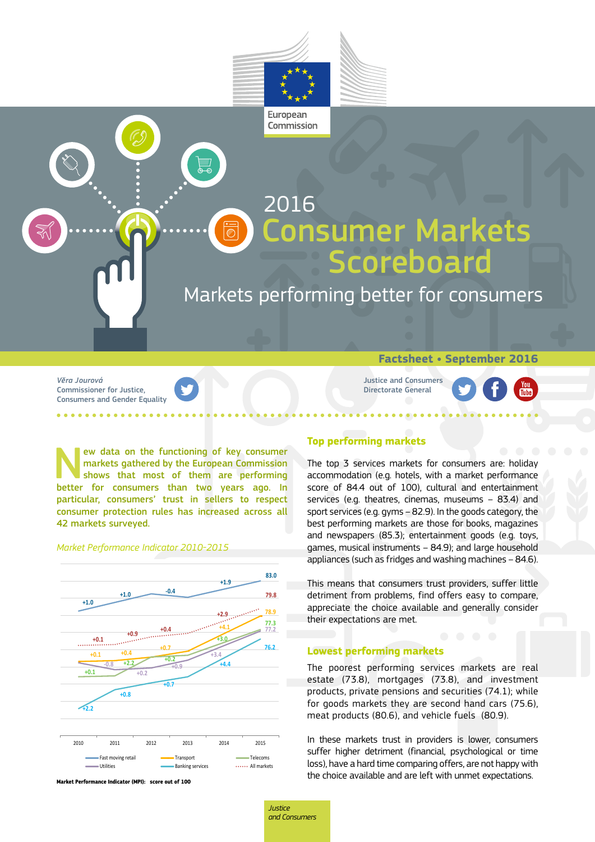



*Vĕra Jourová* Commissioner for Justice, Consumers and Gender Equality **Factsheet • September 2016**

Justice and Consumers Directorate General

New data on the functioning of key consumer<br>markets gathered by the European Commission<br>shows that most of them are performing<br>better for consumers than two years ago. In markets gathered by the European Commission shows that most of them are performing better for consumers than two years ago. In particular, consumers' trust in sellers to respect consumer protection rules has increased across all 42 markets surveyed.

## *Market Performance Indicator 2010-2015*



**Market Performance Indicator (MPI): score out of 100**

# **Top performing markets**

The top 3 services markets for consumers are: holiday accommodation (e.g. hotels, with a market performance score of 84.4 out of 100), cultural and entertainment services (e.g. theatres, cinemas, museums – 83.4) and sport services (e.g. gyms – 82.9). In the goods category, the best performing markets are those for books, magazines and newspapers (85.3); entertainment goods (e.g. toys, games, musical instruments – 84.9); and large household appliances (such as fridges and washing machines – 84.6).

This means that consumers trust providers, suffer little detriment from problems, find offers easy to compare, appreciate the choice available and generally consider their expectations are met.

#### **Lowest performing markets**

The poorest performing services markets are real estate (73.8), mortgages (73.8), and investment products, private pensions and securities (74.1); while for goods markets they are second hand cars (75.6), meat products (80.6), and vehicle fuels (80.9).

In these markets trust in providers is lower, consumers suffer higher detriment (financial, psychological or time loss), have a hard time comparing offers, are not happy with the choice available and are left with unmet expectations.